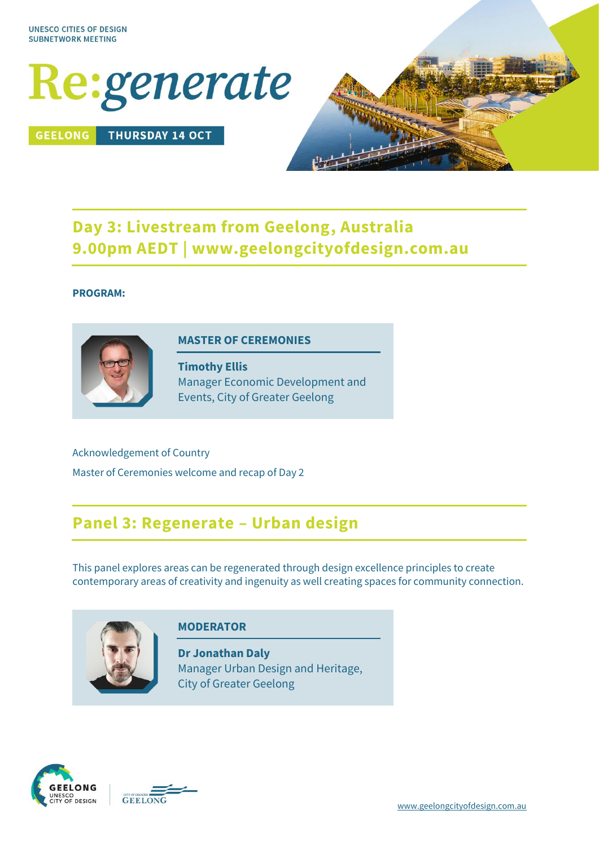

**GEELONG THURSDAY 14 OCT** 



# **Day 3: Livestream from Geelong, Australia 9.00pm AEDT | www.geelongcityofdesign.com.au**

#### **PROGRAM:**



#### **MASTER OF CEREMONIES**

**Timothy Ellis** Manager Economic Development and Events, City of Greater Geelong

Acknowledgement of Country Master of Ceremonies welcome and recap of Day 2

## **Panel 3: Regenerate – Urban design**

This panel explores areas can be regenerated through design excellence principles to create contemporary areas of creativity and ingenuity as well creating spaces for community connection.



#### **MODERATOR**

**Dr Jonathan Daly** Manager Urban Design and Heritage, City of Greater Geelong



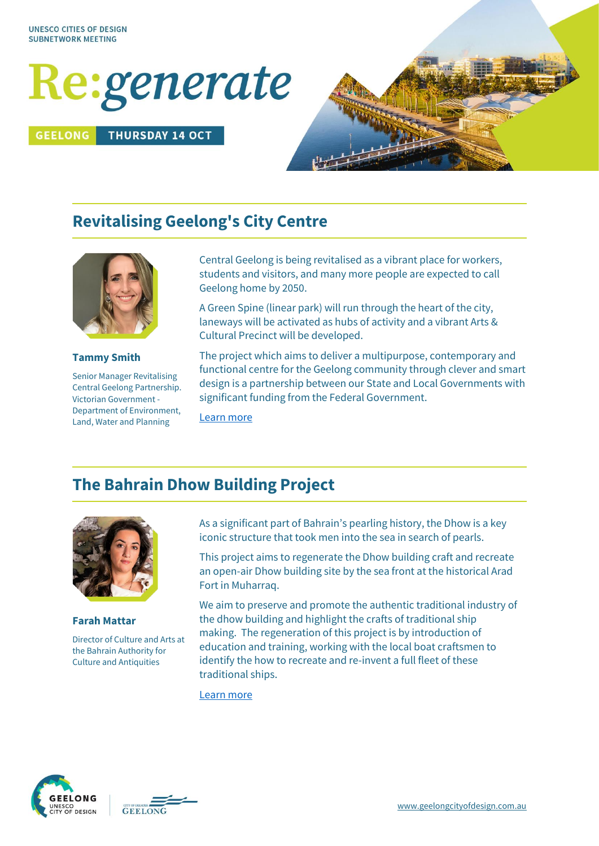# Re:generate

#### **GEELONG THURSDAY 14 OCT**



# **Revitalising Geelong's City Centre**



#### **Tammy Smith**

Senior Manager Revitalising Central Geelong Partnership. Victorian Government - Department of Environment, Land, Water and Planning

Central Geelong is being revitalised as a vibrant place for workers, students and visitors, and many more people are expected to call Geelong home by 2050.

A Green Spine (linear park) will run through the heart of the city, laneways will be activated as hubs of activity and a vibrant Arts & Cultural Precinct will be developed.

The project which aims to deliver a multipurpose, contemporary and functional centre for the Geelong community through clever and smart design is a partnership between our State and Local Governments with significant funding from the Federal Government.

[Learn more](https://www.revitalisingcentralgeelong.vic.gov.au/)

## **The Bahrain Dhow Building Project**



**Farah Mattar** Director of Culture and Arts at

the Bahrain Authority for Culture and Antiquities

As a significant part of Bahrain's pearling history, the Dhow is a key iconic structure that took men into the sea in search of pearls.

This project aims to regenerate the Dhow building craft and recreate an open-air Dhow building site by the sea front at the historical Arad Fort in Muharraq.

We aim to preserve and promote the authentic traditional industry of the dhow building and highlight the crafts of traditional ship making. The regeneration of this project is by introduction of education and training, working with the local boat craftsmen to identify the how to recreate and re-invent a full fleet of these traditional ships.

[Learn more](https://culture.gov.bh/en/)